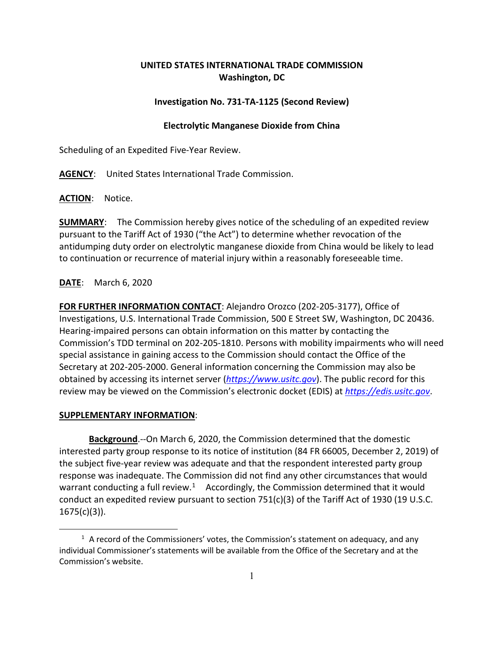# **UNITED STATES INTERNATIONAL TRADE COMMISSION Washington, DC**

#### **Investigation No. 731-TA-1125 (Second Review)**

## **Electrolytic Manganese Dioxide from China**

Scheduling of an Expedited Five-Year Review.

**AGENCY**: United States International Trade Commission.

**ACTION**: Notice.

**SUMMARY**: The Commission hereby gives notice of the scheduling of an expedited review pursuant to the Tariff Act of 1930 ("the Act") to determine whether revocation of the antidumping duty order on electrolytic manganese dioxide from China would be likely to lead to continuation or recurrence of material injury within a reasonably foreseeable time.

## **DATE**: March 6, 2020

**FOR FURTHER INFORMATION CONTACT**: Alejandro Orozco (202-205-3177), Office of Investigations, U.S. International Trade Commission, 500 E Street SW, Washington, DC 20436. Hearing-impaired persons can obtain information on this matter by contacting the Commission's TDD terminal on 202-205-1810. Persons with mobility impairments who will need special assistance in gaining access to the Commission should contact the Office of the Secretary at 202-205-2000. General information concerning the Commission may also be obtained by accessing its internet server (*[https://www.usitc.gov](https://www.usitc.gov/)*). The public record for this review may be viewed on the Commission's electronic docket (EDIS) at *[https://edis.usitc.gov](https://edis.usitc.gov/)*.

#### **SUPPLEMENTARY INFORMATION**:

**Background**.--On March 6, 2020, the Commission determined that the domestic interested party group response to its notice of institution (84 FR 66005, December 2, 2019) of the subject five-year review was adequate and that the respondent interested party group response was inadequate. The Commission did not find any other circumstances that would warrant conducting a full review.<sup>1</sup> Accordingly, the Commission determined that it would conduct an expedited review pursuant to section 751(c)(3) of the Tariff Act of 1930 (19 U.S.C.  $1675(c)(3)$ ).

<span id="page-0-0"></span> $<sup>1</sup>$  A record of the Commissioners' votes, the Commission's statement on adequacy, and any</sup> individual Commissioner's statements will be available from the Office of the Secretary and at the Commission's website.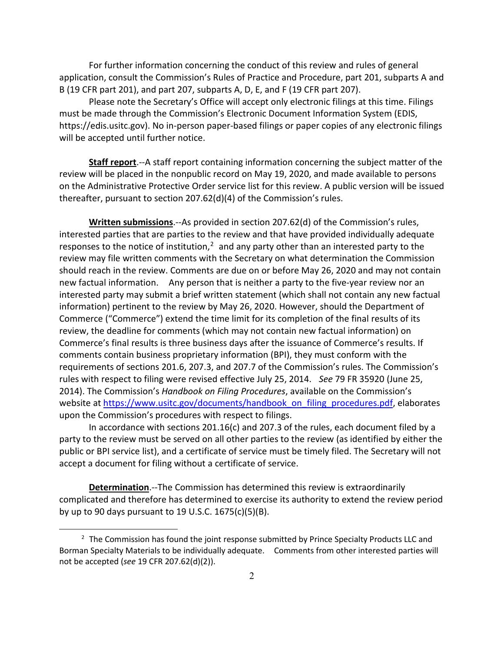For further information concerning the conduct of this review and rules of general application, consult the Commission's Rules of Practice and Procedure, part 201, subparts A and B (19 CFR part 201), and part 207, subparts A, D, E, and F (19 CFR part 207).

Please note the Secretary's Office will accept only electronic filings at this time. Filings must be made through the Commission's Electronic Document Information System (EDIS, https://edis.usitc.gov). No in-person paper-based filings or paper copies of any electronic filings will be accepted until further notice.

**Staff report**.--A staff report containing information concerning the subject matter of the review will be placed in the nonpublic record on May 19, 2020, and made available to persons on the Administrative Protective Order service list for this review. A public version will be issued thereafter, pursuant to section 207.62(d)(4) of the Commission's rules.

**Written submissions**.--As provided in section 207.62(d) of the Commission's rules, interested parties that are parties to the review and that have provided individually adequate responses to the notice of institution, $<sup>2</sup>$  $<sup>2</sup>$  $<sup>2</sup>$  and any party other than an interested party to the</sup> review may file written comments with the Secretary on what determination the Commission should reach in the review. Comments are due on or before May 26, 2020 and may not contain new factual information. Any person that is neither a party to the five-year review nor an interested party may submit a brief written statement (which shall not contain any new factual information) pertinent to the review by May 26, 2020. However, should the Department of Commerce ("Commerce") extend the time limit for its completion of the final results of its review, the deadline for comments (which may not contain new factual information) on Commerce's final results is three business days after the issuance of Commerce's results. If comments contain business proprietary information (BPI), they must conform with the requirements of sections 201.6, 207.3, and 207.7 of the Commission's rules. The Commission's rules with respect to filing were revised effective July 25, 2014. *See* 79 FR 35920 (June 25, 2014). The Commission's *Handbook on Filing Procedures*, available on the Commission's website at [https://www.usitc.gov/documents/handbook\\_on\\_filing\\_procedures.pdf,](https://www.usitc.gov/documents/handbook_on_filing_procedures.pdf) elaborates upon the Commission's procedures with respect to filings.

In accordance with sections 201.16(c) and 207.3 of the rules, each document filed by a party to the review must be served on all other parties to the review (as identified by either the public or BPI service list), and a certificate of service must be timely filed. The Secretary will not accept a document for filing without a certificate of service.

**Determination**.--The Commission has determined this review is extraordinarily complicated and therefore has determined to exercise its authority to extend the review period by up to 90 days pursuant to 19 U.S.C. 1675(c)(5)(B).

<span id="page-1-0"></span> $2$  The Commission has found the joint response submitted by Prince Specialty Products LLC and Borman Specialty Materials to be individually adequate. Comments from other interested parties will not be accepted (*see* 19 CFR 207.62(d)(2)).